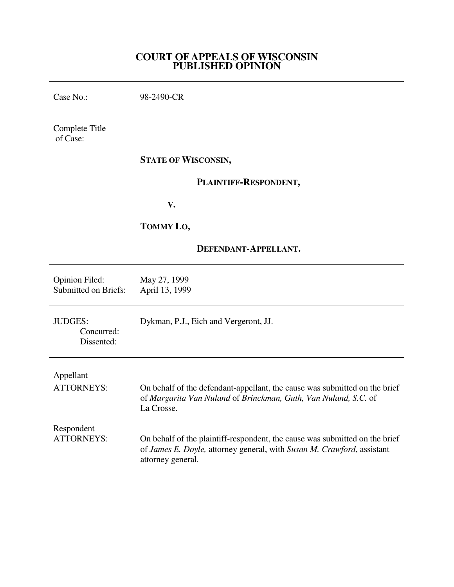## **COURT OF APPEALS OF WISCONSIN PUBLISHED OPINION**

| Case No.:                                     | 98-2490-CR                                                                                                                                                                 |
|-----------------------------------------------|----------------------------------------------------------------------------------------------------------------------------------------------------------------------------|
| Complete Title<br>of Case:                    |                                                                                                                                                                            |
|                                               | <b>STATE OF WISCONSIN,</b>                                                                                                                                                 |
|                                               | PLAINTIFF-RESPONDENT,                                                                                                                                                      |
|                                               | V.                                                                                                                                                                         |
|                                               | TOMMY LO,                                                                                                                                                                  |
|                                               | DEFENDANT-APPELLANT.                                                                                                                                                       |
| <b>Opinion Filed:</b><br>Submitted on Briefs: | May 27, 1999<br>April 13, 1999                                                                                                                                             |
| <b>JUDGES:</b><br>Concurred:<br>Dissented:    | Dykman, P.J., Eich and Vergeront, JJ.                                                                                                                                      |
| Appellant<br><b>ATTORNEYS:</b>                | On behalf of the defendant-appellant, the cause was submitted on the brief<br>of Margarita Van Nuland of Brinckman, Guth, Van Nuland, S.C. of<br>La Crosse.                |
| Respondent<br><b>ATTORNEYS:</b>               | On behalf of the plaintiff-respondent, the cause was submitted on the brief<br>of James E. Doyle, attorney general, with Susan M. Crawford, assistant<br>attorney general. |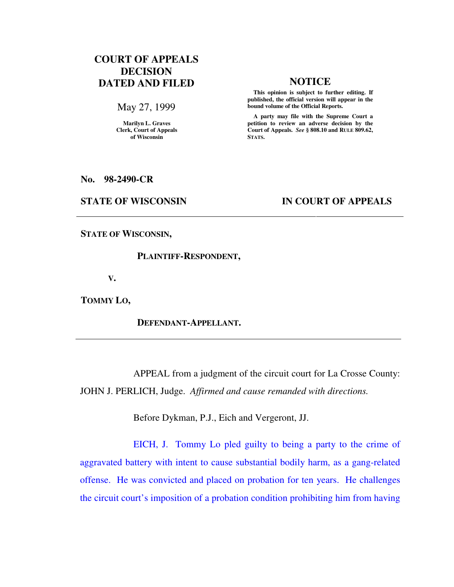# **COURT OF APPEALS DECISION DATED AND FILED NOTICE**

May 27, 1999

**Marilyn L. Graves Clerk, Court of Appeals of Wisconsin** 

 **This opinion is subject to further editing. If published, the official version will appear in the bound volume of the Official Reports.**

 **A party may file with the Supreme Court a petition to review an adverse decision by the Court of Appeals.** *See* **§ 808.10 and RULE 809.62, STATS.** 

**No. 98-2490-CR** 

### **STATE OF WISCONSIN IN COURT OF APPEALS**

**STATE OF WISCONSIN,** 

### **PLAINTIFF-RESPONDENT,**

 **V.** 

**TOMMY LO,** 

 **DEFENDANT-APPELLANT.** 

 APPEAL from a judgment of the circuit court for La Crosse County: JOHN J. PERLICH, Judge. *Affirmed and cause remanded with directions.*

Before Dykman, P.J., Eich and Vergeront, JJ.

EICH, J. Tommy Lo pled guilty to being a party to the crime of aggravated battery with intent to cause substantial bodily harm, as a gang-related offense. He was convicted and placed on probation for ten years. He challenges the circuit court's imposition of a probation condition prohibiting him from having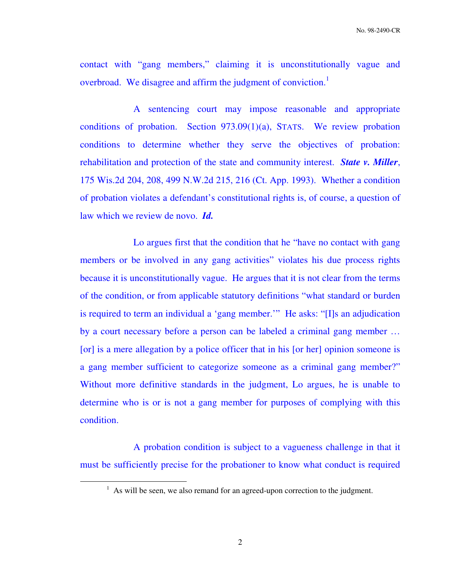contact with "gang members," claiming it is unconstitutionally vague and overbroad. We disagree and affirm the judgment of conviction.<sup>1</sup>

 A sentencing court may impose reasonable and appropriate conditions of probation. Section 973.09(1)(a), STATS. We review probation conditions to determine whether they serve the objectives of probation: rehabilitation and protection of the state and community interest. *State v. Miller*, 175 Wis.2d 204, 208, 499 N.W.2d 215, 216 (Ct. App. 1993). Whether a condition of probation violates a defendant's constitutional rights is, of course, a question of law which we review de novo. *Id.* 

 Lo argues first that the condition that he "have no contact with gang members or be involved in any gang activities" violates his due process rights because it is unconstitutionally vague. He argues that it is not clear from the terms of the condition, or from applicable statutory definitions "what standard or burden is required to term an individual a 'gang member.'" He asks: "[I]s an adjudication by a court necessary before a person can be labeled a criminal gang member … [or] is a mere allegation by a police officer that in his [or her] opinion someone is a gang member sufficient to categorize someone as a criminal gang member?" Without more definitive standards in the judgment, Lo argues, he is unable to determine who is or is not a gang member for purposes of complying with this condition.

 A probation condition is subject to a vagueness challenge in that it must be sufficiently precise for the probationer to know what conduct is required

 $<sup>1</sup>$  As will be seen, we also remand for an agreed-upon correction to the judgment.</sup>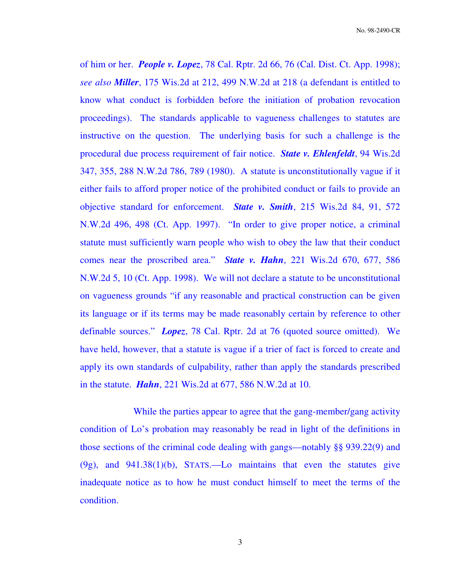of him or her. *People v. Lopez*, 78 Cal. Rptr. 2d 66, 76 (Cal. Dist. Ct. App. 1998); *see also Miller*, 175 Wis.2d at 212, 499 N.W.2d at 218 (a defendant is entitled to know what conduct is forbidden before the initiation of probation revocation proceedings). The standards applicable to vagueness challenges to statutes are instructive on the question. The underlying basis for such a challenge is the procedural due process requirement of fair notice. *State v. Ehlenfeldt*, 94 Wis.2d 347, 355, 288 N.W.2d 786, 789 (1980). A statute is unconstitutionally vague if it either fails to afford proper notice of the prohibited conduct or fails to provide an objective standard for enforcement. *State v. Smith*, 215 Wis.2d 84, 91, 572 N.W.2d 496, 498 (Ct. App. 1997). "In order to give proper notice, a criminal statute must sufficiently warn people who wish to obey the law that their conduct comes near the proscribed area." *State v. Hahn*, 221 Wis.2d 670, 677, 586 N.W.2d 5, 10 (Ct. App. 1998). We will not declare a statute to be unconstitutional on vagueness grounds "if any reasonable and practical construction can be given its language or if its terms may be made reasonably certain by reference to other definable sources." *Lopez*, 78 Cal. Rptr. 2d at 76 (quoted source omitted). We have held, however, that a statute is vague if a trier of fact is forced to create and apply its own standards of culpability, rather than apply the standards prescribed in the statute. *Hahn*, 221 Wis.2d at 677, 586 N.W.2d at 10.

 While the parties appear to agree that the gang-member/gang activity condition of Lo's probation may reasonably be read in light of the definitions in those sections of the criminal code dealing with gangs—notably §§ 939.22(9) and (9g), and 941.38(1)(b), STATS.—Lo maintains that even the statutes give inadequate notice as to how he must conduct himself to meet the terms of the condition.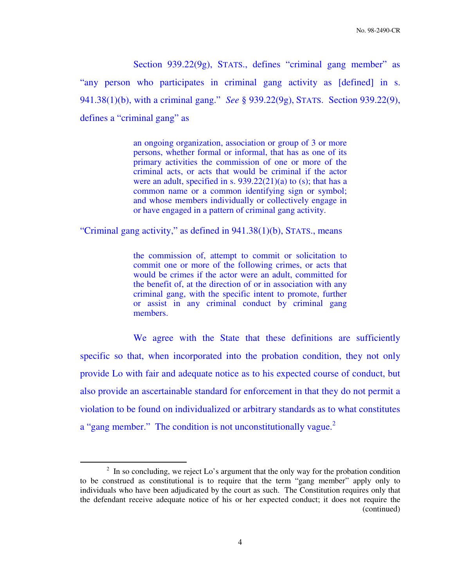Section 939.22(9g), STATS., defines "criminal gang member" as "any person who participates in criminal gang activity as [defined] in s. 941.38(1)(b), with a criminal gang." *See* § 939.22(9g), STATS. Section 939.22(9), defines a "criminal gang" as

> an ongoing organization, association or group of 3 or more persons, whether formal or informal, that has as one of its primary activities the commission of one or more of the criminal acts, or acts that would be criminal if the actor were an adult, specified in s.  $939.22(21)(a)$  to (s); that has a common name or a common identifying sign or symbol; and whose members individually or collectively engage in or have engaged in a pattern of criminal gang activity.

"Criminal gang activity," as defined in 941.38(1)(b), STATS., means

the commission of, attempt to commit or solicitation to commit one or more of the following crimes, or acts that would be crimes if the actor were an adult, committed for the benefit of, at the direction of or in association with any criminal gang, with the specific intent to promote, further or assist in any criminal conduct by criminal gang members.

We agree with the State that these definitions are sufficiently specific so that, when incorporated into the probation condition, they not only provide Lo with fair and adequate notice as to his expected course of conduct, but also provide an ascertainable standard for enforcement in that they do not permit a violation to be found on individualized or arbitrary standards as to what constitutes a "gang member." The condition is not unconstitutionally vague.<sup>2</sup>

 $2 \text{ In so concluding, we reject Lo's argument that the only way for the proton condition.}$ to be construed as constitutional is to require that the term "gang member" apply only to individuals who have been adjudicated by the court as such. The Constitution requires only that the defendant receive adequate notice of his or her expected conduct; it does not require the (continued)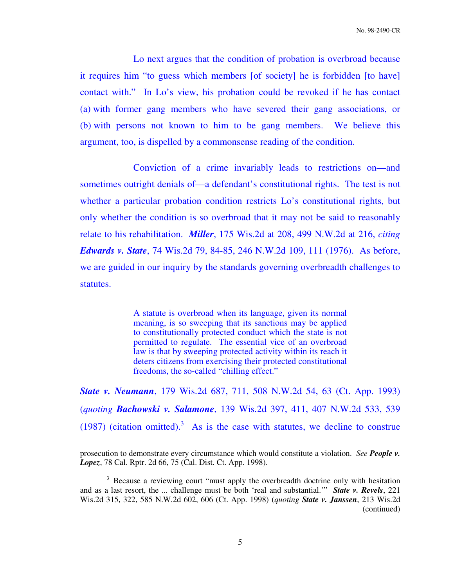Lo next argues that the condition of probation is overbroad because it requires him "to guess which members [of society] he is forbidden [to have] contact with." In Lo's view, his probation could be revoked if he has contact (a) with former gang members who have severed their gang associations, or (b) with persons not known to him to be gang members. We believe this argument, too, is dispelled by a commonsense reading of the condition.

 Conviction of a crime invariably leads to restrictions on—and sometimes outright denials of—a defendant's constitutional rights. The test is not whether a particular probation condition restricts Lo's constitutional rights, but only whether the condition is so overbroad that it may not be said to reasonably relate to his rehabilitation. *Miller*, 175 Wis.2d at 208, 499 N.W.2d at 216, *citing Edwards v. State*, 74 Wis.2d 79, 84-85, 246 N.W.2d 109, 111 (1976). As before, we are guided in our inquiry by the standards governing overbreadth challenges to statutes.

> A statute is overbroad when its language, given its normal meaning, is so sweeping that its sanctions may be applied to constitutionally protected conduct which the state is not permitted to regulate. The essential vice of an overbroad law is that by sweeping protected activity within its reach it deters citizens from exercising their protected constitutional freedoms, the so-called "chilling effect."

*State v. Neumann*, 179 Wis.2d 687, 711, 508 N.W.2d 54, 63 (Ct. App. 1993) (*quoting Bachowski v. Salamone*, 139 Wis.2d 397, 411, 407 N.W.2d 533, 539 (1987) (citation omitted).<sup>3</sup> As is the case with statutes, we decline to construe

prosecution to demonstrate every circumstance which would constitute a violation. *See People v. Lopez*, 78 Cal. Rptr. 2d 66, 75 (Cal. Dist. Ct. App. 1998).

<sup>&</sup>lt;sup>3</sup> Because a reviewing court "must apply the overbreadth doctrine only with hesitation and as a last resort, the ... challenge must be both 'real and substantial.'" *State v. Revels*, 221 Wis.2d 315, 322, 585 N.W.2d 602, 606 (Ct. App. 1998) (*quoting State v. Janssen*, 213 Wis.2d (continued)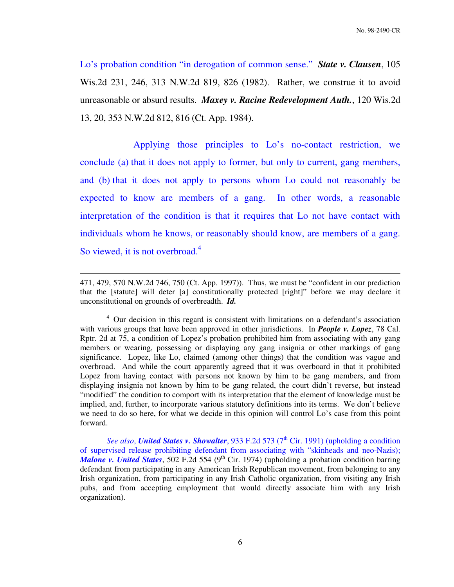Lo's probation condition "in derogation of common sense." *State v. Clausen*, 105 Wis.2d 231, 246, 313 N.W.2d 819, 826 (1982). Rather, we construe it to avoid unreasonable or absurd results. *Maxey v. Racine Redevelopment Auth.*, 120 Wis.2d 13, 20, 353 N.W.2d 812, 816 (Ct. App. 1984).

Applying those principles to Lo's no-contact restriction, we conclude (a) that it does not apply to former, but only to current, gang members, and (b) that it does not apply to persons whom Lo could not reasonably be expected to know are members of a gang. In other words, a reasonable interpretation of the condition is that it requires that Lo not have contact with individuals whom he knows, or reasonably should know, are members of a gang. So viewed, it is not overbroad.<sup>4</sup>

<sup>471, 479, 570</sup> N.W.2d 746, 750 (Ct. App. 1997)). Thus, we must be "confident in our prediction that the [statute] will deter [a] constitutionally protected [right]" before we may declare it unconstitutional on grounds of overbreadth. *Id.*

<sup>&</sup>lt;sup>4</sup> Our decision in this regard is consistent with limitations on a defendant's association with various groups that have been approved in other jurisdictions. In *People v. Lopez*, 78 Cal. Rptr. 2d at 75, a condition of Lopez's probation prohibited him from associating with any gang members or wearing, possessing or displaying any gang insignia or other markings of gang significance. Lopez, like Lo, claimed (among other things) that the condition was vague and overbroad. And while the court apparently agreed that it was overboard in that it prohibited Lopez from having contact with persons not known by him to be gang members, and from displaying insignia not known by him to be gang related, the court didn't reverse, but instead "modified" the condition to comport with its interpretation that the element of knowledge must be implied, and, further, to incorporate various statutory definitions into its terms. We don't believe we need to do so here, for what we decide in this opinion will control Lo's case from this point forward.

*See also*, *United States v. Showalter*, 933 F.2d 573 (7<sup>th</sup> Cir. 1991) (upholding a condition of supervised release prohibiting defendant from associating with "skinheads and neo-Nazis); *Malone v. United States*, 502 F.2d 554 (9<sup>th</sup> Cir. 1974) (upholding a probation condition barring defendant from participating in any American Irish Republican movement, from belonging to any Irish organization, from participating in any Irish Catholic organization, from visiting any Irish pubs, and from accepting employment that would directly associate him with any Irish organization).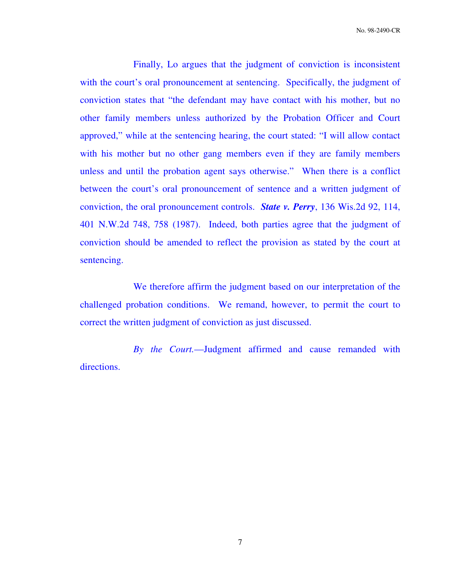No. 98-2490-CR

Finally, Lo argues that the judgment of conviction is inconsistent with the court's oral pronouncement at sentencing. Specifically, the judgment of conviction states that "the defendant may have contact with his mother, but no other family members unless authorized by the Probation Officer and Court approved," while at the sentencing hearing, the court stated: "I will allow contact with his mother but no other gang members even if they are family members unless and until the probation agent says otherwise." When there is a conflict between the court's oral pronouncement of sentence and a written judgment of conviction, the oral pronouncement controls. *State v. Perry*, 136 Wis.2d 92, 114, 401 N.W.2d 748, 758 (1987). Indeed, both parties agree that the judgment of conviction should be amended to reflect the provision as stated by the court at sentencing.

 We therefore affirm the judgment based on our interpretation of the challenged probation conditions. We remand, however, to permit the court to correct the written judgment of conviction as just discussed.

*By the Court.*—Judgment affirmed and cause remanded with directions.

7